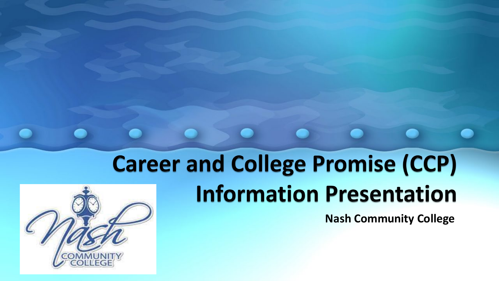## **Career and College Promise (CCP) Information Presentation**

**Nash Community College**

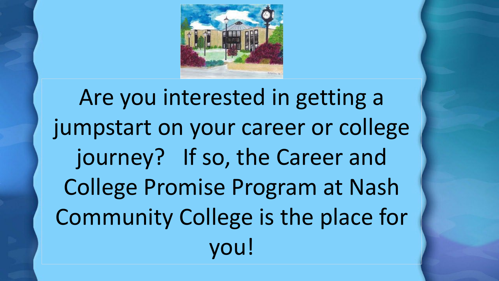Are you interested in getting a jumpstart on your career or college journey? If so, the Career and College Promise Program at Nash Community College is the place for you!

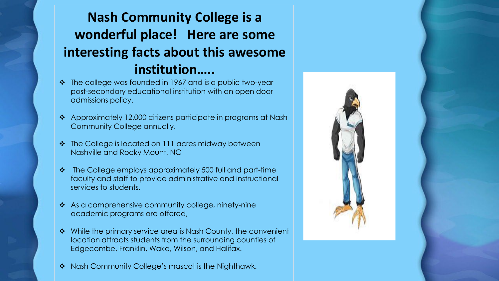### **Nash Community College is a wonderful place! Here are some interesting facts about this awesome institution…..**

- The college was founded in 1967 and is a public two-year post-secondary educational institution with an open door admissions policy.
- ◆ Approximately 12,000 citizens participate in programs at Nash Community College annually.
- The College is located on 111 acres midway between Nashville and Rocky Mount, NC
- The College employs approximately 500 full and part-time faculty and staff to provide administrative and instructional services to students.
- As a comprehensive community college, ninety-nine academic programs are offered,
- ◆ While the primary service area is Nash County, the convenient location attracts students from the surrounding counties of Edgecombe, Franklin, Wake, Wilson, and Halifax.
- ◆ Nash Community College's mascot is the Nighthawk.

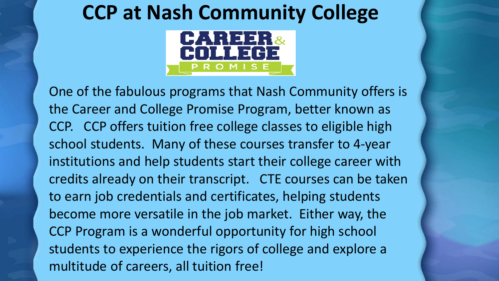## **CCP at Nash Community College**



One of the fabulous programs that Nash Community offers is the Career and College Promise Program, better known as CCP. CCP offers tuition free college classes to eligible high school students. Many of these courses transfer to 4-year institutions and help students start their college career with credits already on their transcript. CTE courses can be taken to earn job credentials and certificates, helping students become more versatile in the job market. Either way, the CCP Program is a wonderful opportunity for high school students to experience the rigors of college and explore a multitude of careers, all tuition free!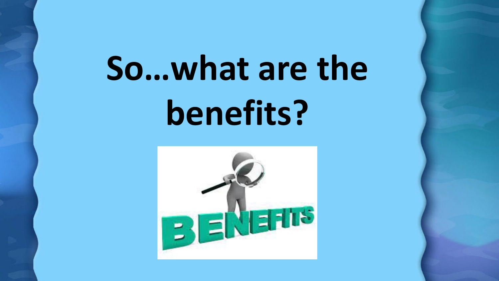# **So…what are the benefits?**

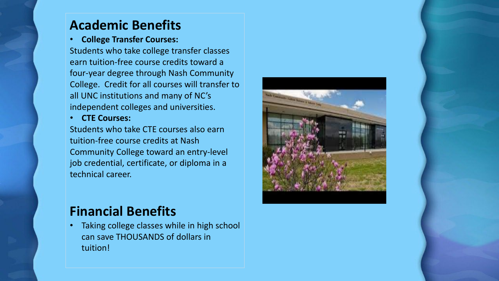### **Academic Benefits**

#### • **College Transfer Courses:**

Students who take college transfer classes earn tuition-free course credits toward a four-year degree through Nash Community College. Credit for all courses will transfer to all UNC institutions and many of NC's independent colleges and universities.

• **CTE Courses:** 

Students who take CTE courses also earn tuition-free course credits at Nash Community College toward an entry-level job credential, certificate, or diploma in a technical career.

### **Financial Benefits**

• Taking college classes while in high school can save THOUSANDS of dollars in tuition!

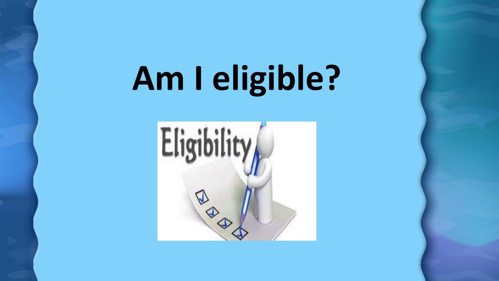# **Am I eligible?**

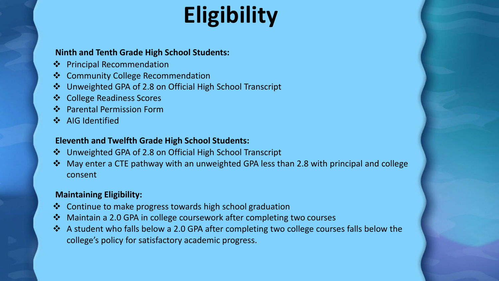## **Eligibility**

#### **Ninth and Tenth Grade High School Students:**

- ❖ Principal Recommendation
- ❖ Community College Recommendation
- Unweighted GPA of 2.8 on Official High School Transcript
- ❖ College Readiness Scores
- Parental Permission Form
- ❖ AIG Identified

#### **Eleventh and Twelfth Grade High School Students:**

- Unweighted GPA of 2.8 on Official High School Transcript
- ◆ May enter a CTE pathway with an unweighted GPA less than 2.8 with principal and college consent

#### **Maintaining Eligibility:**

- ❖ Continue to make progress towards high school graduation
- Maintain a 2.0 GPA in college coursework after completing two courses
- ◆ A student who falls below a 2.0 GPA after completing two college courses falls below the college's policy for satisfactory academic progress.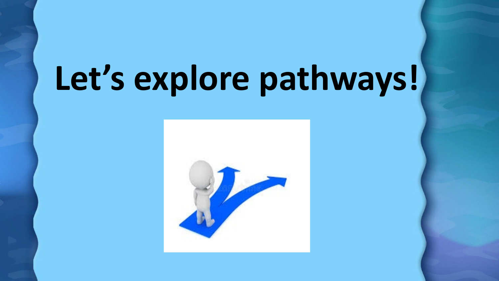# **Let's explore pathways!**

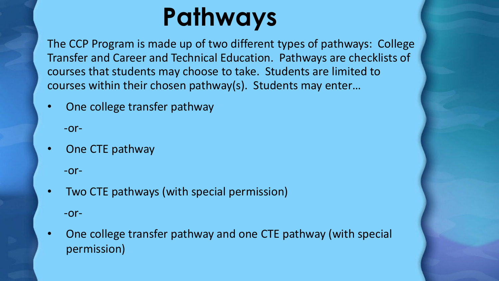## **Pathways**

The CCP Program is made up of two different types of pathways: College Transfer and Career and Technical Education. Pathways are checklists of courses that students may choose to take. Students are limited to courses within their chosen pathway(s). Students may enter…

• One college transfer pathway

-or-

• One CTE pathway

-or-

- Two CTE pathways (with special permission) -or-
- One college transfer pathway and one CTE pathway (with special permission)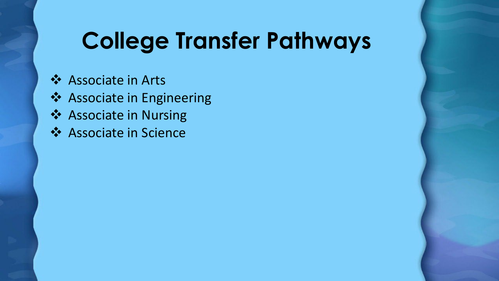## **College Transfer Pathways**

- ❖ Associate in Arts
- ❖ Associate in Engineering
- ❖ Associate in Nursing
- Associate in Science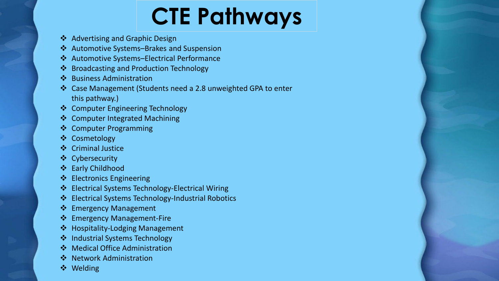## **CTE Pathways**

- ❖ Advertising and Graphic Design
- Automotive Systems–Brakes and Suspension
- Automotive Systems–Electrical Performance
- ❖ Broadcasting and Production Technology
- ❖ Business Administration
- Case Management (Students need a 2.8 unweighted GPA to enter this pathway.)
- ❖ Computer Engineering Technology
- Computer Integrated Machining
- ❖ Computer Programming
- Cosmetology
- ❖ Criminal Justice
- Cybersecurity
- Early Childhood
- ❖ Electronics Engineering
- Electrical Systems Technology-Electrical Wiring
- Electrical Systems Technology-Industrial Robotics
- ❖ Emergency Management
- ❖ Emergency Management-Fire
- ❖ Hospitality-Lodging Management
- ❖ Industrial Systems Technology
- ❖ Medical Office Administration
- ❖ Network Administration
- **❖** Welding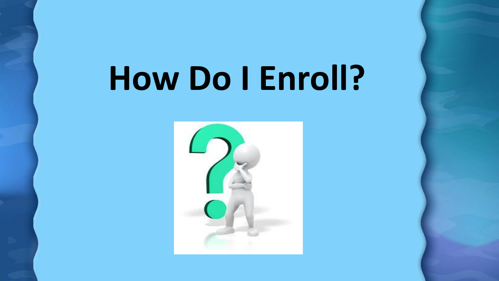# **How Do I Enroll?**

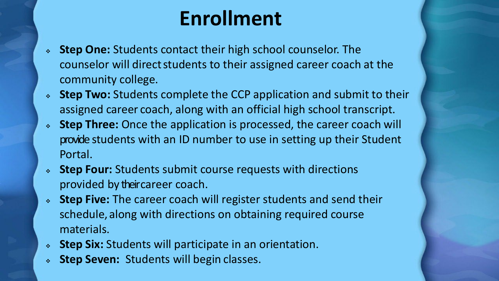## **Enrollment**

- **Step One:** Students contact their high school counselor. The counselor will directstudents to their assigned career coach at the community college.
- **Step Two:** Students complete the CCP application and submit to their assigned career coach, along with an official high school transcript.
- **Step Three:** Once the application is processed, the career coach will provide students with an ID number to use in setting up their Student Portal.
- **Step Four:** Students submit course requests with directions provided by their career coach.
- **Step Five:** The career coach will register students and send their schedule, along with directions on obtaining required course materials.
- **Step Six:** Students will participate in an orientation.
- **Step Seven:** Students will begin classes.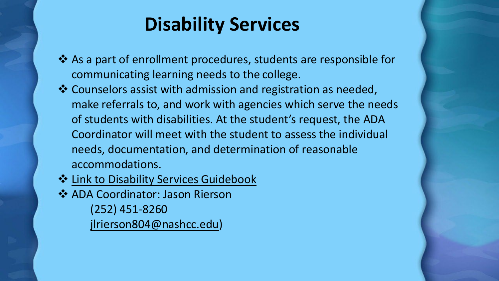## **Disability Services**

- As a part of enrollment procedures, students are responsible for communicating learning needs to the college.
- Counselors assist with admission and registration as needed, make referrals to, and work with agencies which serve the needs of students with disabilities. At the student's request, the ADA Coordinator will meet with the student to assess the individual needs, documentation, and determination of reasonable accommodations.
- $\triangle$  [Link to Disability Services](https://www.nashcc.edu/images/uploads/assets/Disability_Services_Guide_Book.pdf) Guidebook ◆ ADA Coordinator: Jason Rierson (252) 451-8260 [jlrierson804@nashcc.edu](mailto:jlrierson804@nashcc.edu))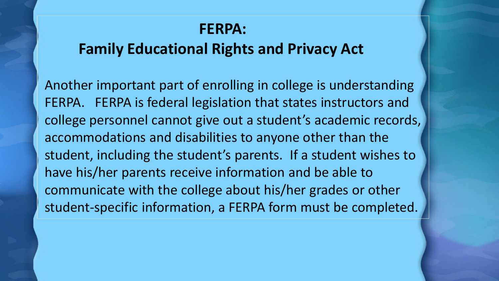### **FERPA:**

### **Family Educational Rights and Privacy Act**

Another important part of enrolling in college is understanding FERPA. FERPA is federal legislation that states instructors and college personnel cannot give out a student's academic records, accommodations and disabilities to anyone other than the student, including the student's parents. If a student wishes to have his/her parents receive information and be able to communicate with the college about his/her grades or other student-specific information, a FERPA form must be completed.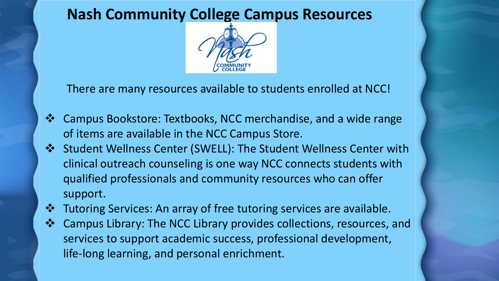### **Nash Community College Campus Resources**



There are many resources available to students enrolled at NCC!

- Campus Bookstore: Textbooks, NCC merchandise, and a wide range of items are available in the NCC Campus Store.
- Student Wellness Center (SWELL): The Student Wellness Center with clinical outreach counseling is one way NCC connects students with qualified professionals and community resources who can offer support.
- $\triangle$  Tutoring Services: An array of free tutoring services are available.
- †↑ Campus Library: The NCC Library provides collections, resources, and services to support academic success, professional development, life-long learning, and personal enrichment.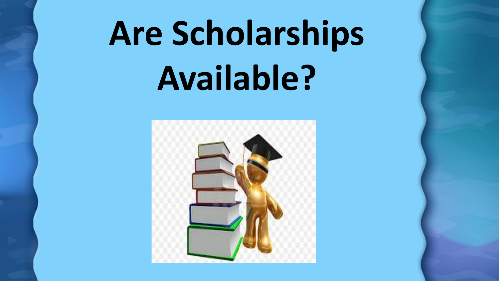# **Are Scholarships Available?**

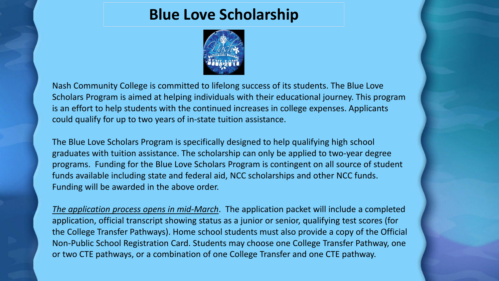### **Blue Love Scholarship**



Nash Community College is committed to lifelong success of its students. The Blue Love Scholars Program is aimed at helping individuals with their educational journey. This program is an effort to help students with the continued increases in college expenses. Applicants could qualify for up to two years of in-state tuition assistance.

The Blue Love Scholars Program is specifically designed to help qualifying high school graduates with tuition assistance. The scholarship can only be applied to two-year degree programs. Funding for the Blue Love Scholars Program is contingent on all source of student funds available including state and federal aid, NCC scholarships and other NCC funds. Funding will be awarded in the above order.

*The application process opens in mid-March*. The application packet will include a completed application, official transcript showing status as a junior or senior, qualifying test scores (for the College Transfer Pathways). Home school students must also provide a copy of the Official Non-Public School Registration Card. Students may choose one College Transfer Pathway, one or two CTE pathways, or a combination of one College Transfer and one CTE pathway.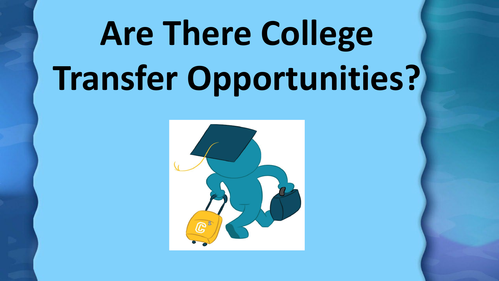# **Are There College Transfer Opportunities?**

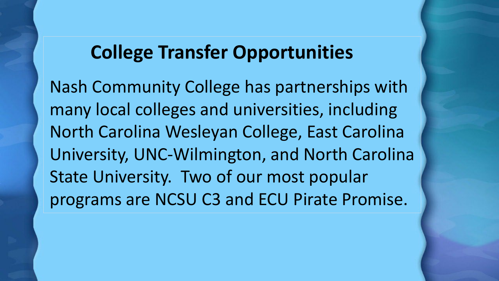### **College Transfer Opportunities**

Nash Community College has partnerships with many local colleges and universities, including North Carolina Wesleyan College, East Carolina University, UNC-Wilmington, and North Carolina State University. Two of our most popular programs are NCSU C3 and ECU Pirate Promise.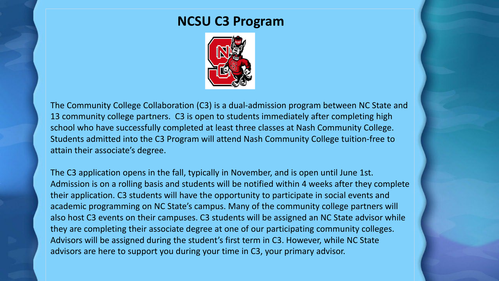### **NCSU C3 Program**



The Community College Collaboration (C3) is a dual-admission program between NC State and 13 community college partners. C3 is open to students immediately after completing high school who have successfully completed at least three classes at Nash Community College. Students admitted into the C3 Program will attend Nash Community College tuition-free to attain their associate's degree.

The C3 application opens in the fall, typically in November, and is open until June 1st. Admission is on a rolling basis and students will be notified within 4 weeks after they complete their application. C3 students will have the opportunity to participate in social events and academic programming on NC State's campus. Many of the community college partners will also host C3 events on their campuses. C3 students will be assigned an NC State advisor while they are completing their associate degree at one of our participating community colleges. Advisors will be assigned during the student's first term in C3. However, while NC State advisors are here to support you during your time in C3, your primary advisor.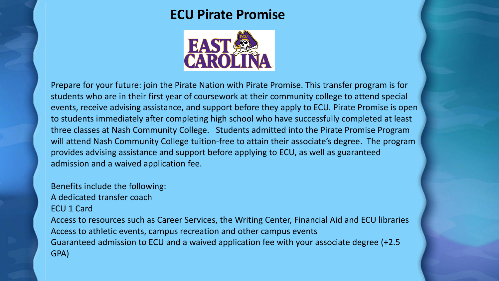### **ECU Pirate Promise**



Prepare for your future: join the Pirate Nation with Pirate Promise. This transfer program is for students who are in their first year of coursework at their community college to attend special events, receive advising assistance, and support before they apply to ECU. Pirate Promise is open to students immediately after completing high school who have successfully completed at least three classes at Nash Community College. Students admitted into the Pirate Promise Program will attend Nash Community College tuition-free to attain their associate's degree. The program provides advising assistance and support before applying to ECU, as well as guaranteed admission and a waived application fee.

#### Benefits include the following:

A dedicated transfer coach

#### ECU 1 Card

Access to resources such as Career Services, the Writing Center, Financial Aid and ECU libraries Access to athletic events, campus recreation and other campus events Guaranteed admission to ECU and a waived application fee with your associate degree (+2.5 GPA)